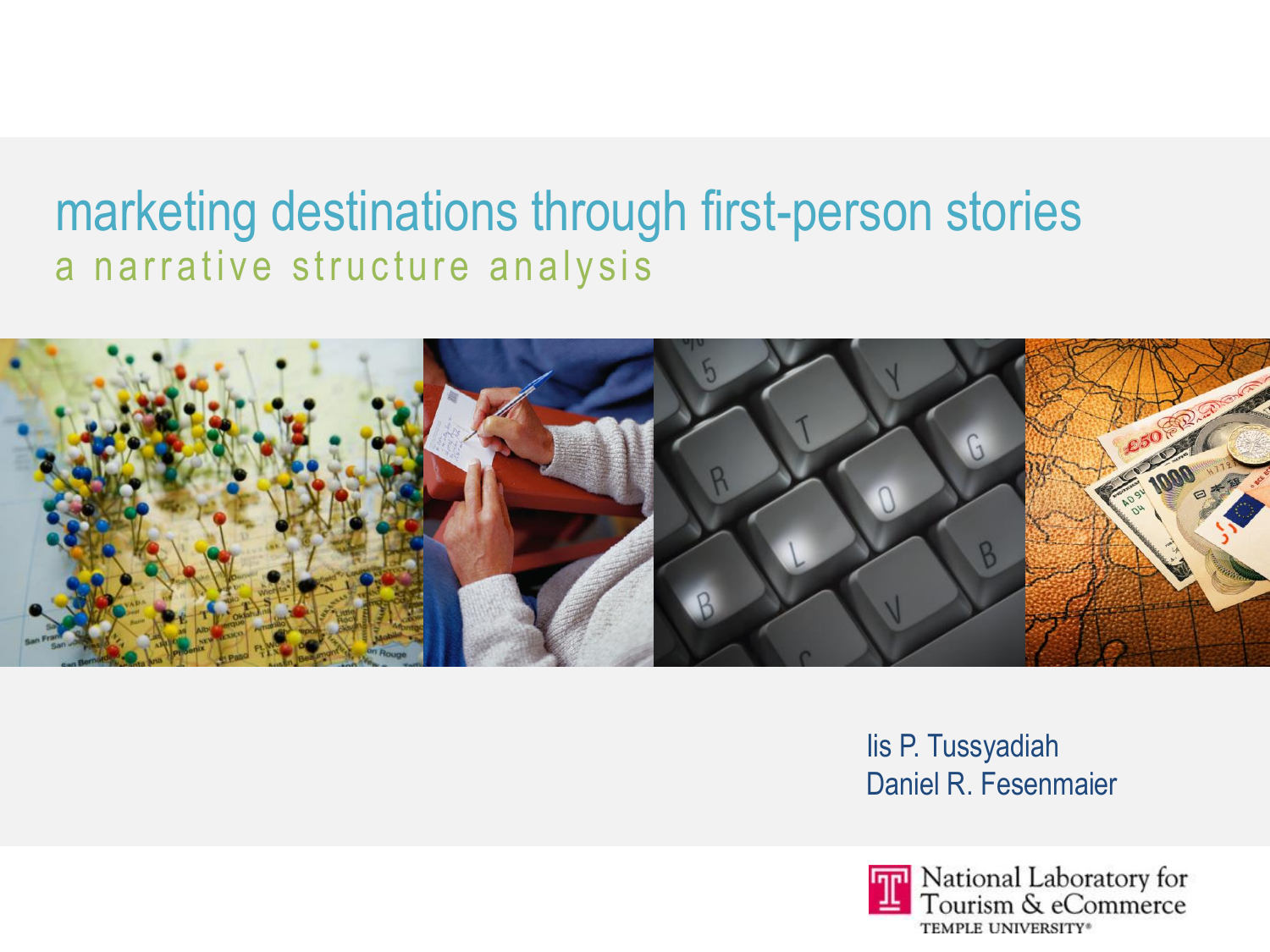### marketing destinations through first-person stories a narrative structure analysis



lis P. Tussyadiah Daniel R. Fesenmaier

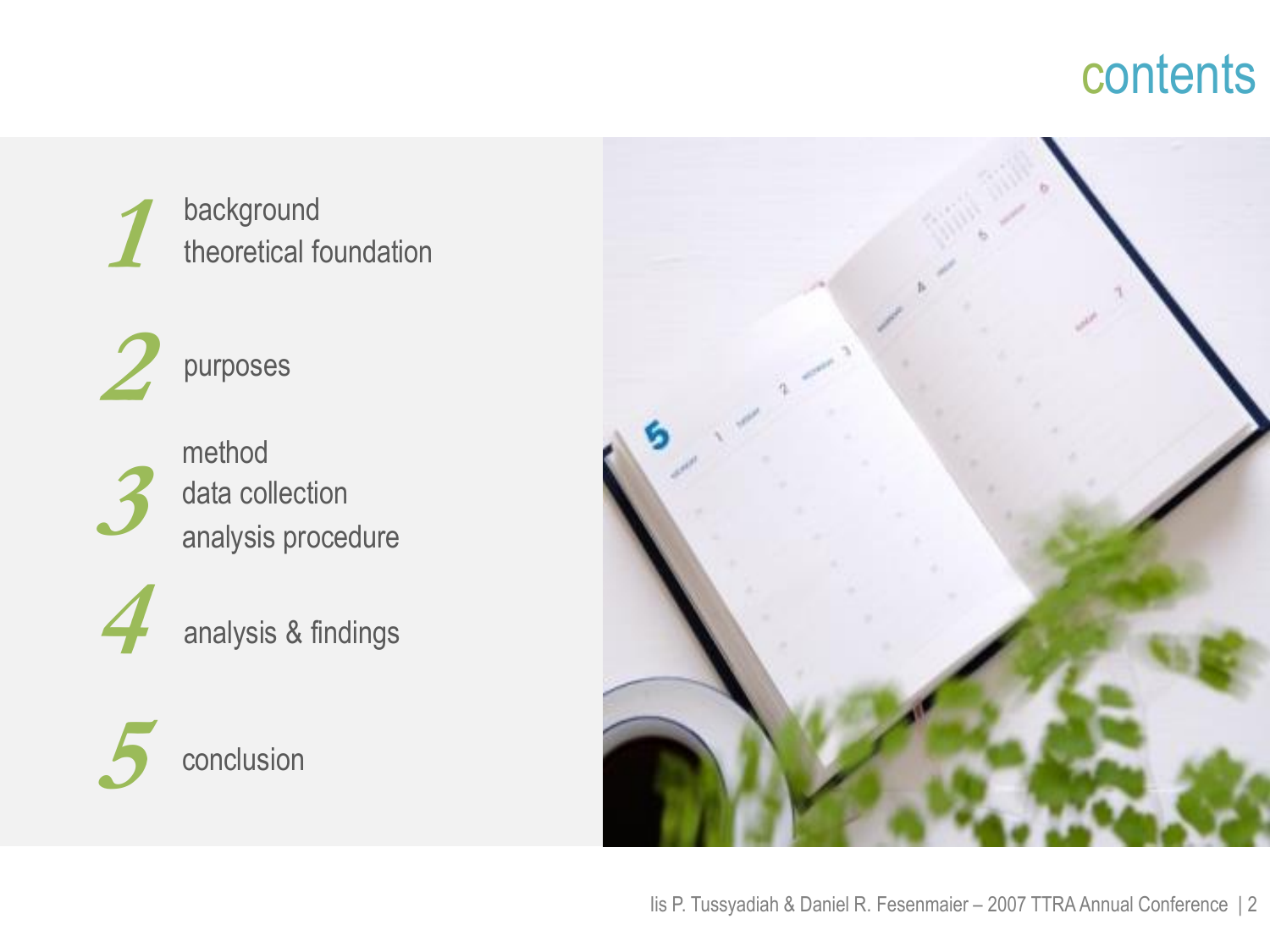## contents

**1**background theoretical foundation

**2**purposes

**3** method

analysis procedure data collection

analysis & findings



**4**



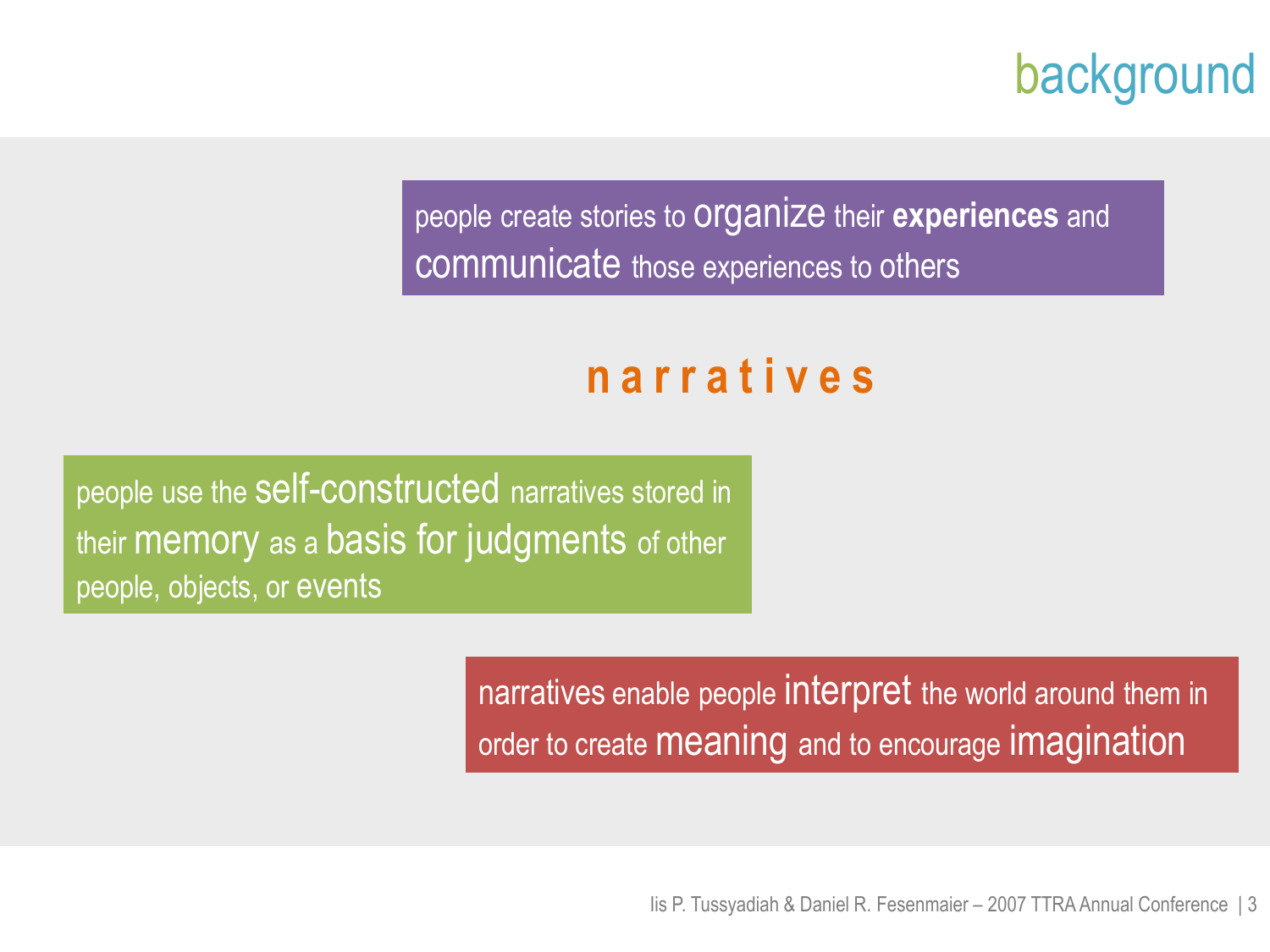background

people create stories to organize their **experiences** and communicate those experiences to others

## **n a r r a t i v e s**

people use the self-constructed narratives stored in their memory as a basis for judgments of other people, objects, or events

> narratives enable people interpret the world around them in order to create meaning and to encourage imagination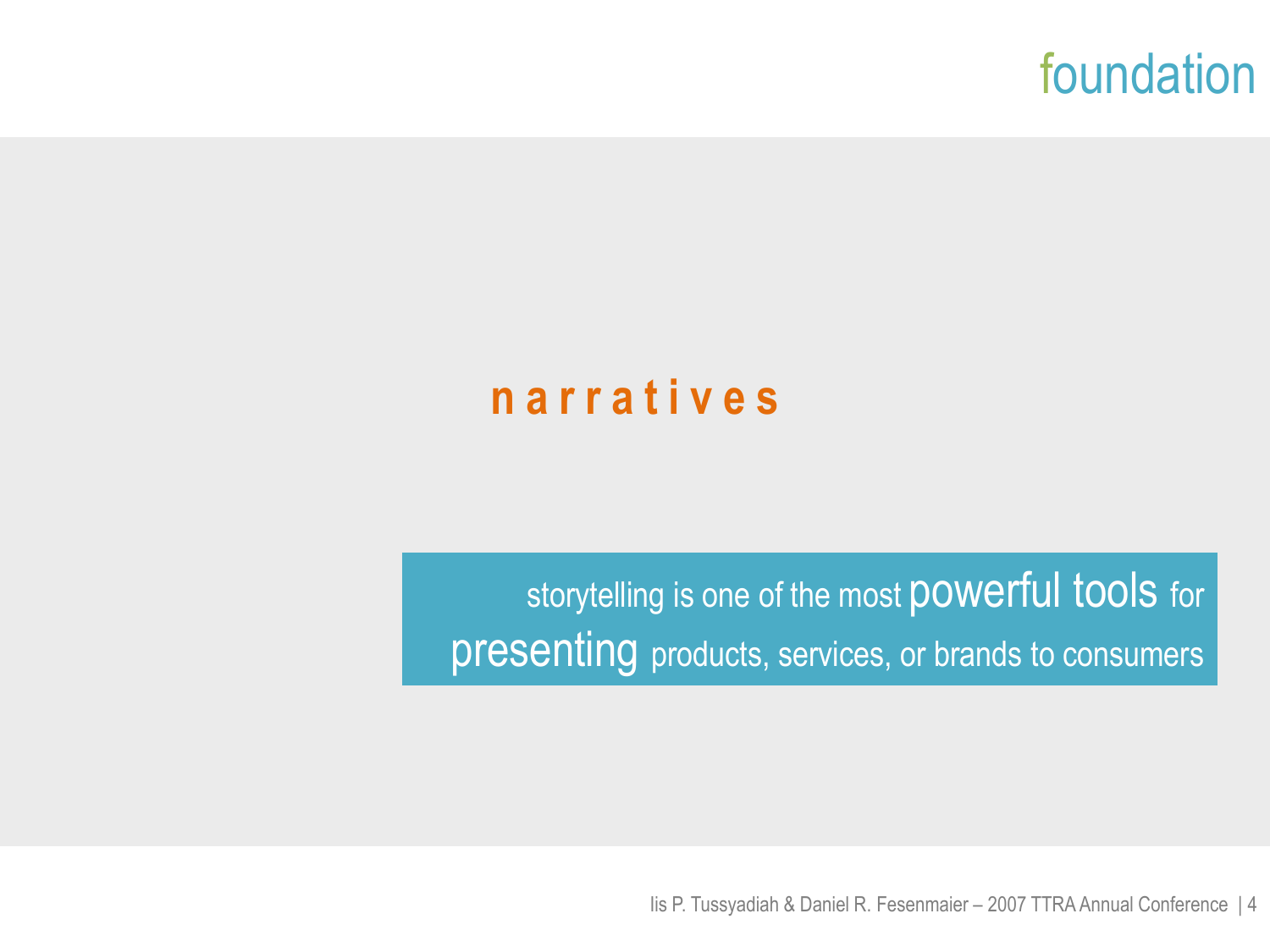

### **n a r r a t i v e s**

storytelling is one of the most powerful tools for presenting products, services, or brands to consumers

Iis P. Tussyadiah & Daniel R. Fesenmaier – 2007 TTRA Annual Conference | 4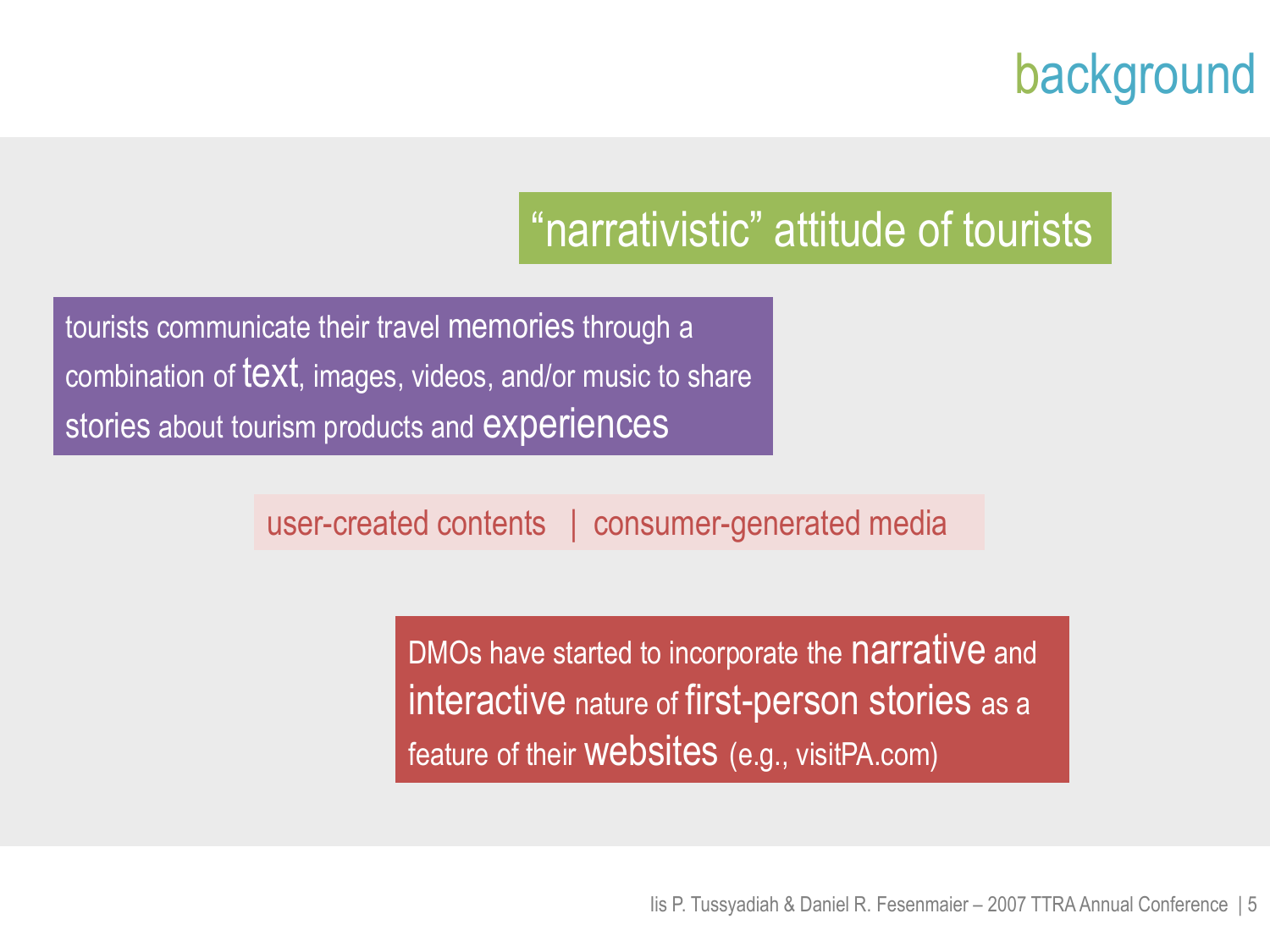## background

### "narrativistic" attitude of tourists

tourists communicate their travel memories through a combination of text, images, videos, and/or music to share stories about tourism products and **experiences** 

user-created contents | consumer-generated media

DMOs have started to incorporate the narrative and interactive nature of first-person stories as a feature of their websites (e.g., visitPA.com)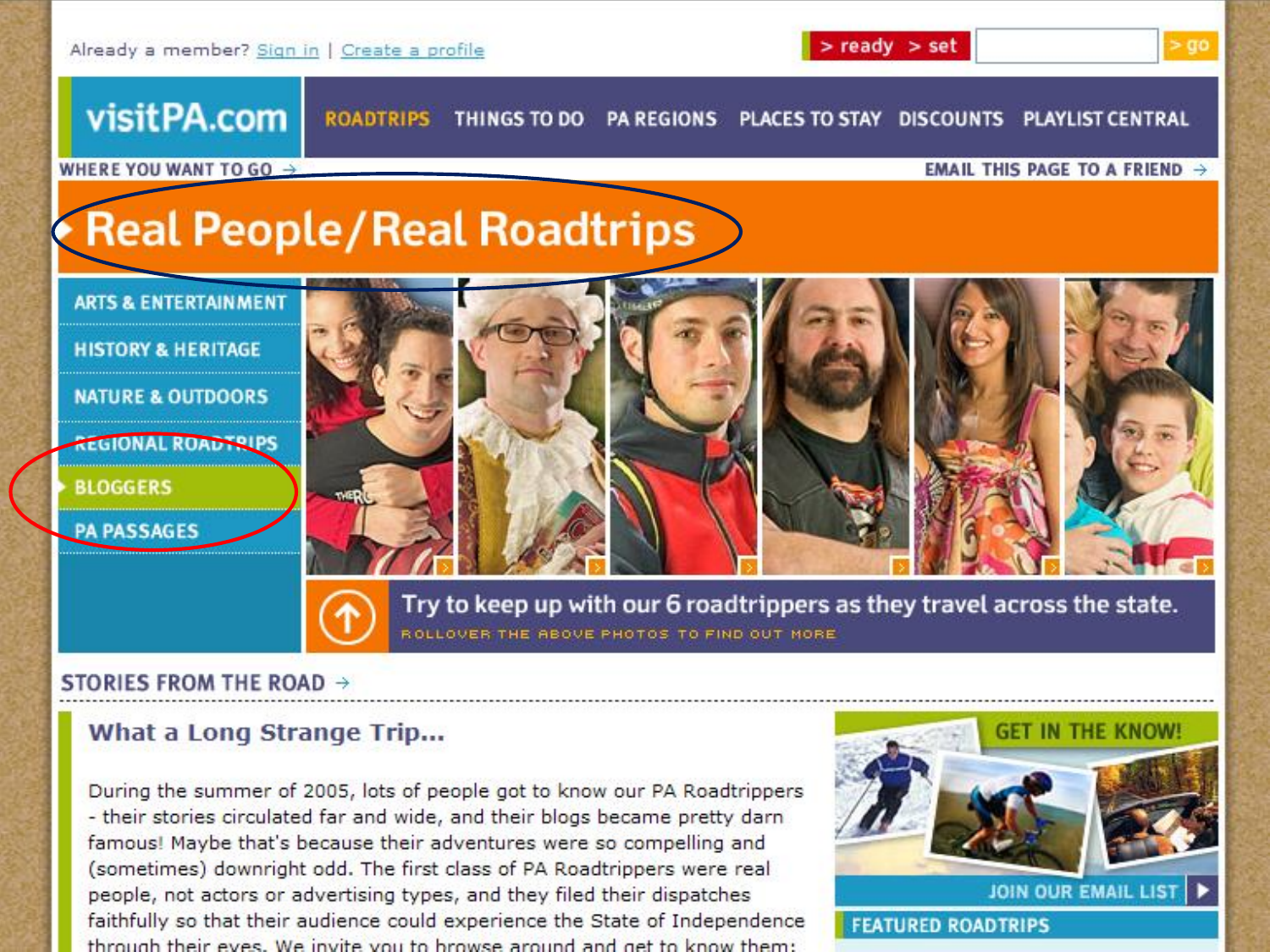

#### STORIES FROM THE ROAD  $\rightarrow$

#### What a Long Strange Trip...

During the summer of 2005, lots of people got to know our PA Roadtrippers - their stories circulated far and wide, and their blogs became pretty darn famous! Maybe that's because their adventures were so compelling and (sometimes) downright odd. The first class of PA Roadtrippers were real people, not actors or advertising types, and they filed their dispatches faithfully so that their audience could experience the State of Independence through their eves. We invite you to browse around and get to know them:



**FEATURED ROADTRIPS**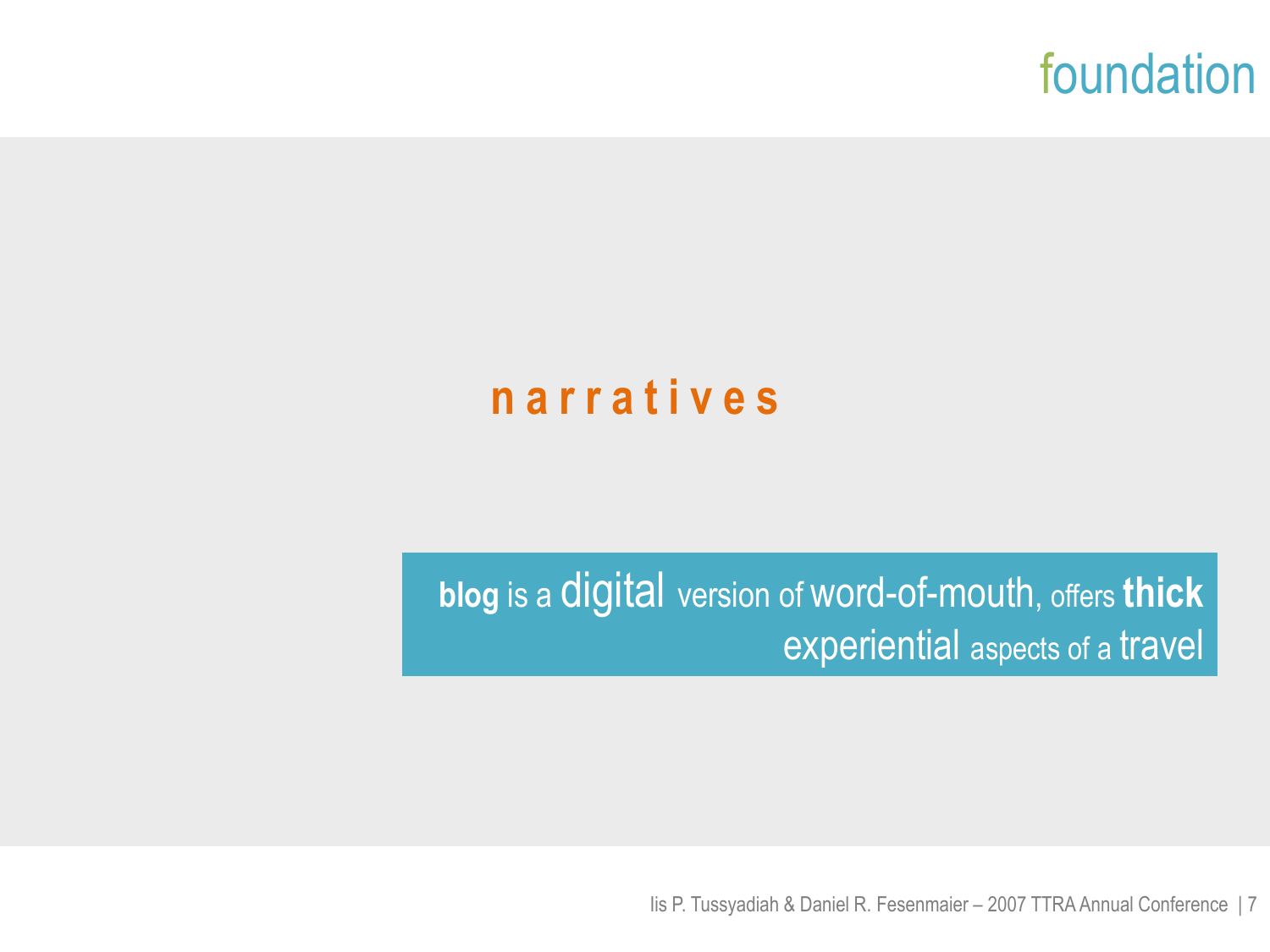

#### **n a r r a t i v e s**

**blog** is a digital version of word-of-mouth, offers **thick** experiential aspects of a travel

Iis P. Tussyadiah & Daniel R. Fesenmaier – 2007 TTRA Annual Conference | 7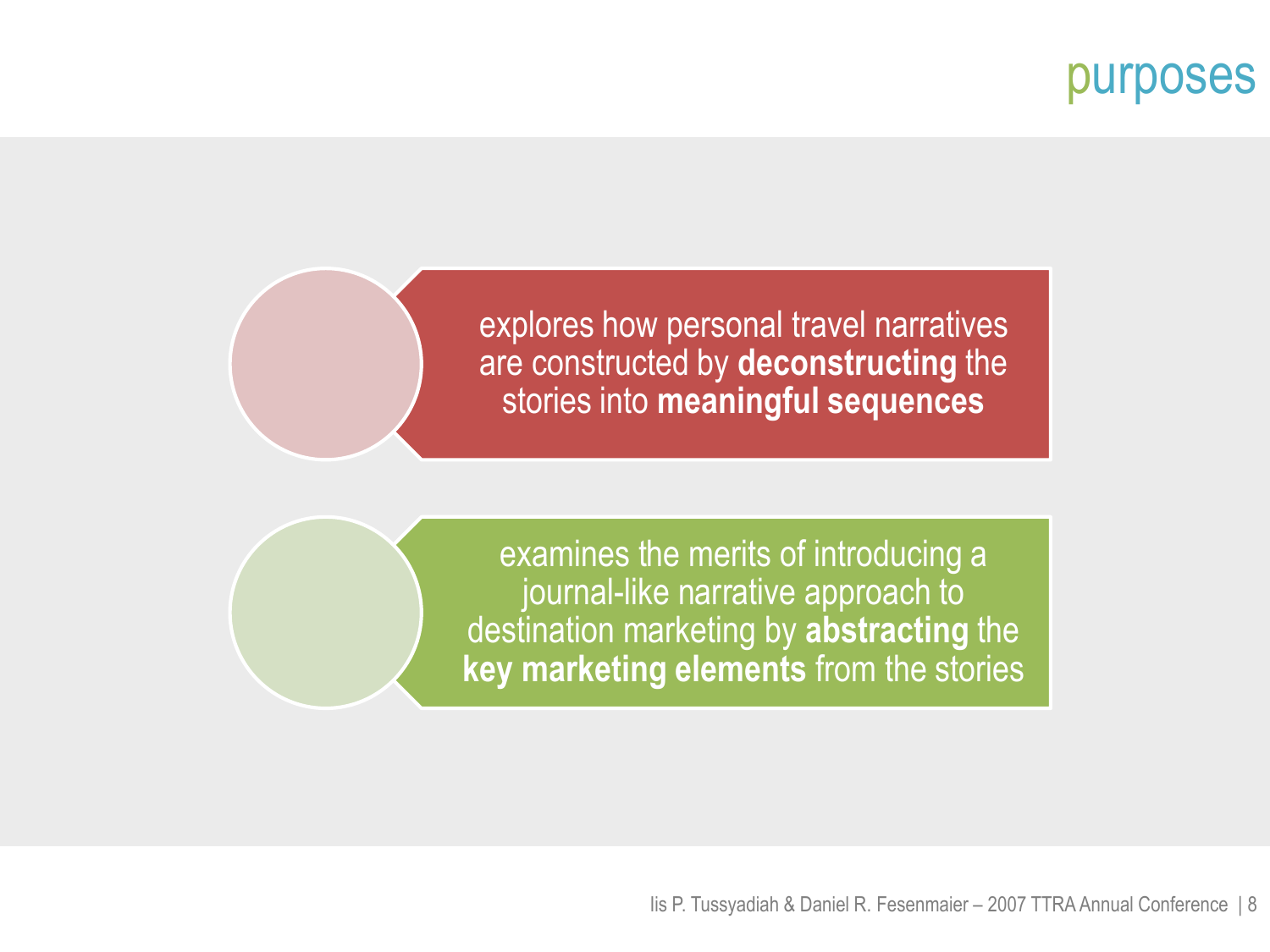#### purposes

explores how personal travel narratives are constructed by **deconstructing** the stories into **meaningful sequences**

examines the merits of introducing a journal-like narrative approach to destination marketing by **abstracting** the **key marketing elements** from the stories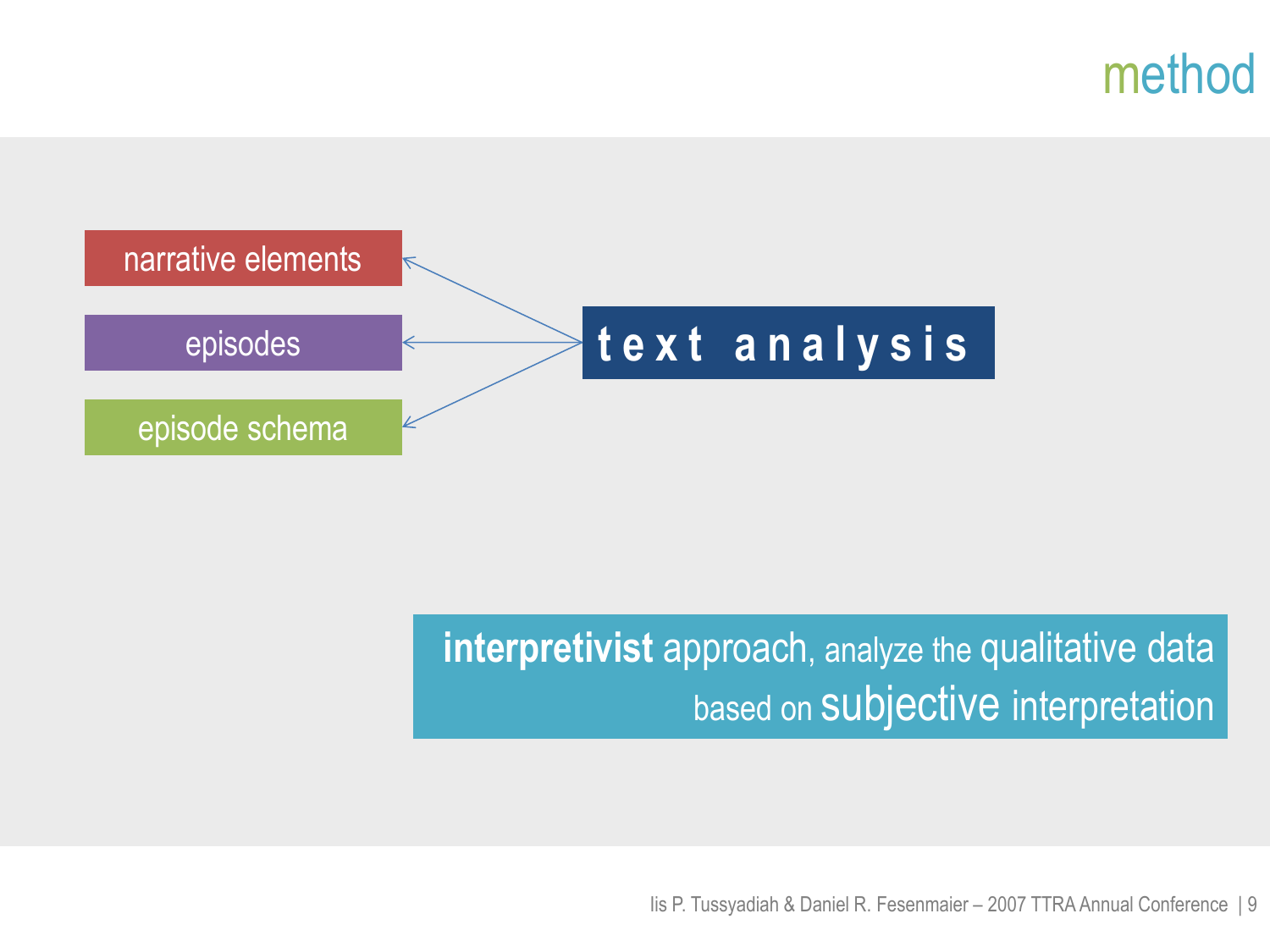### method



### **interpretivist** approach, analyze the qualitative data based on Subjective interpretation

Iis P. Tussyadiah & Daniel R. Fesenmaier – 2007 TTRA Annual Conference | 9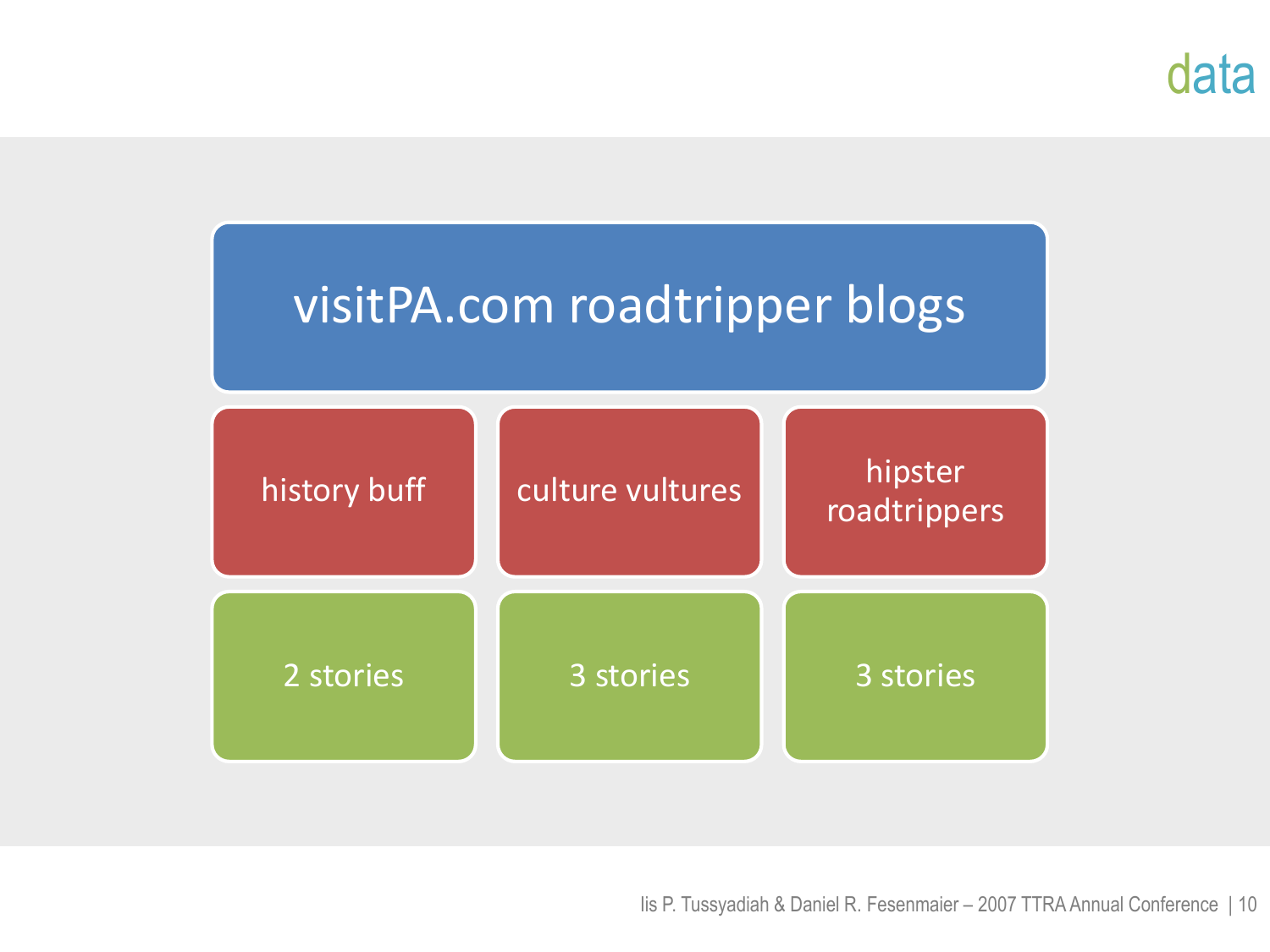### data

# visitPA.com roadtripper blogs

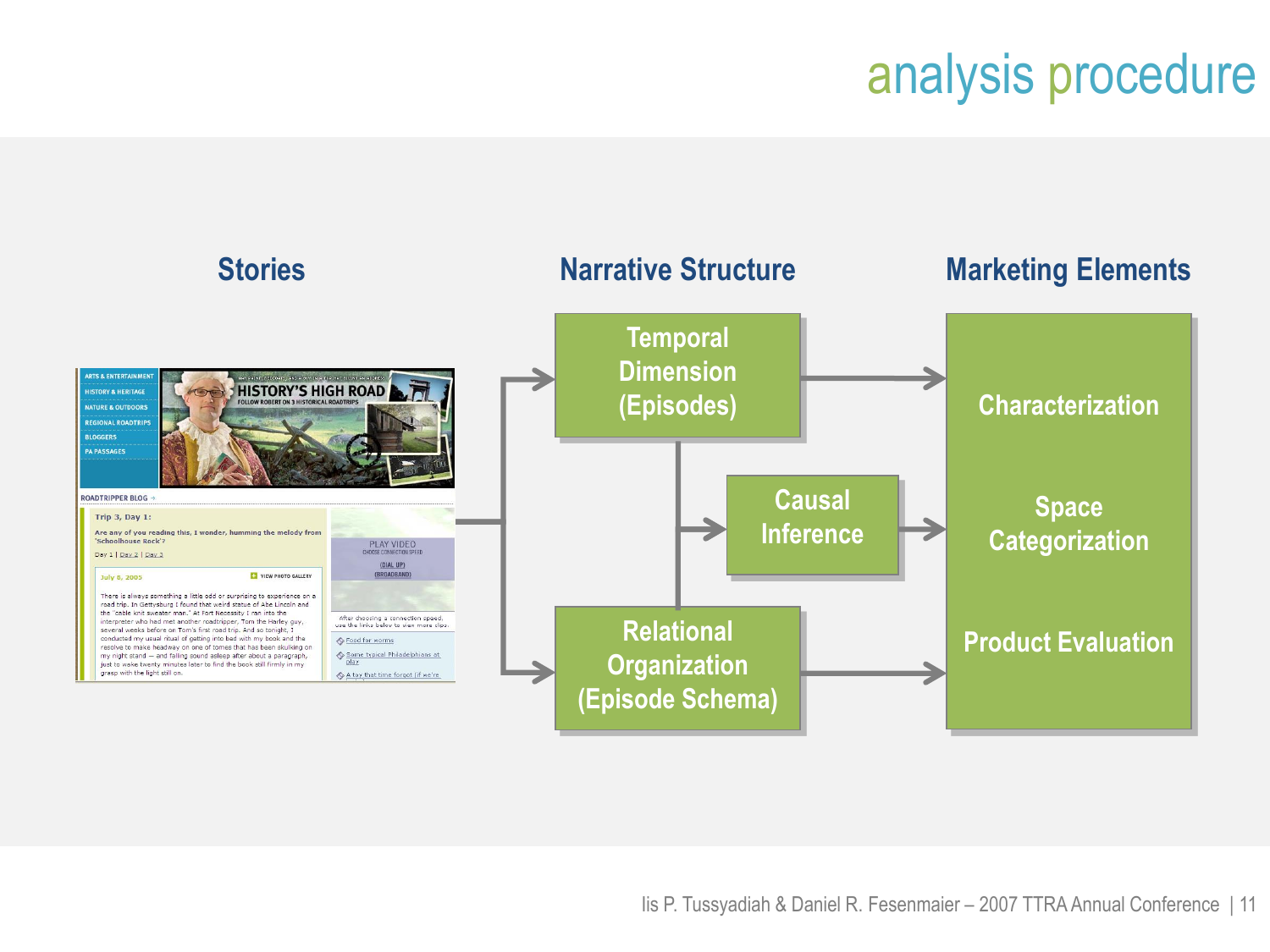# analysis procedure

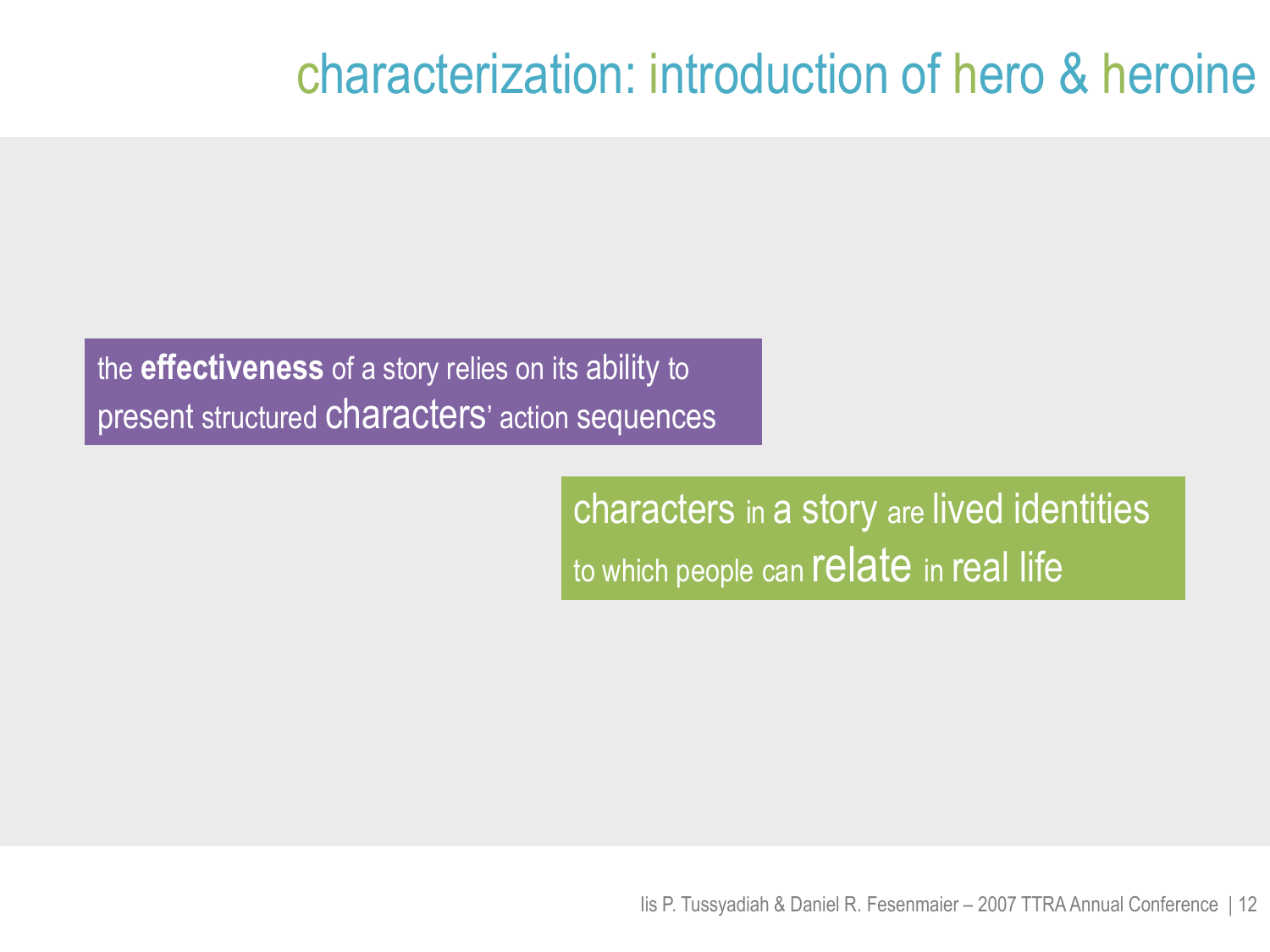## characterization: introduction of hero & heroine

the **effectiveness** of a story relies on its ability to present structured characters' action sequences

> characters in a story are lived identities to which people can relate in real life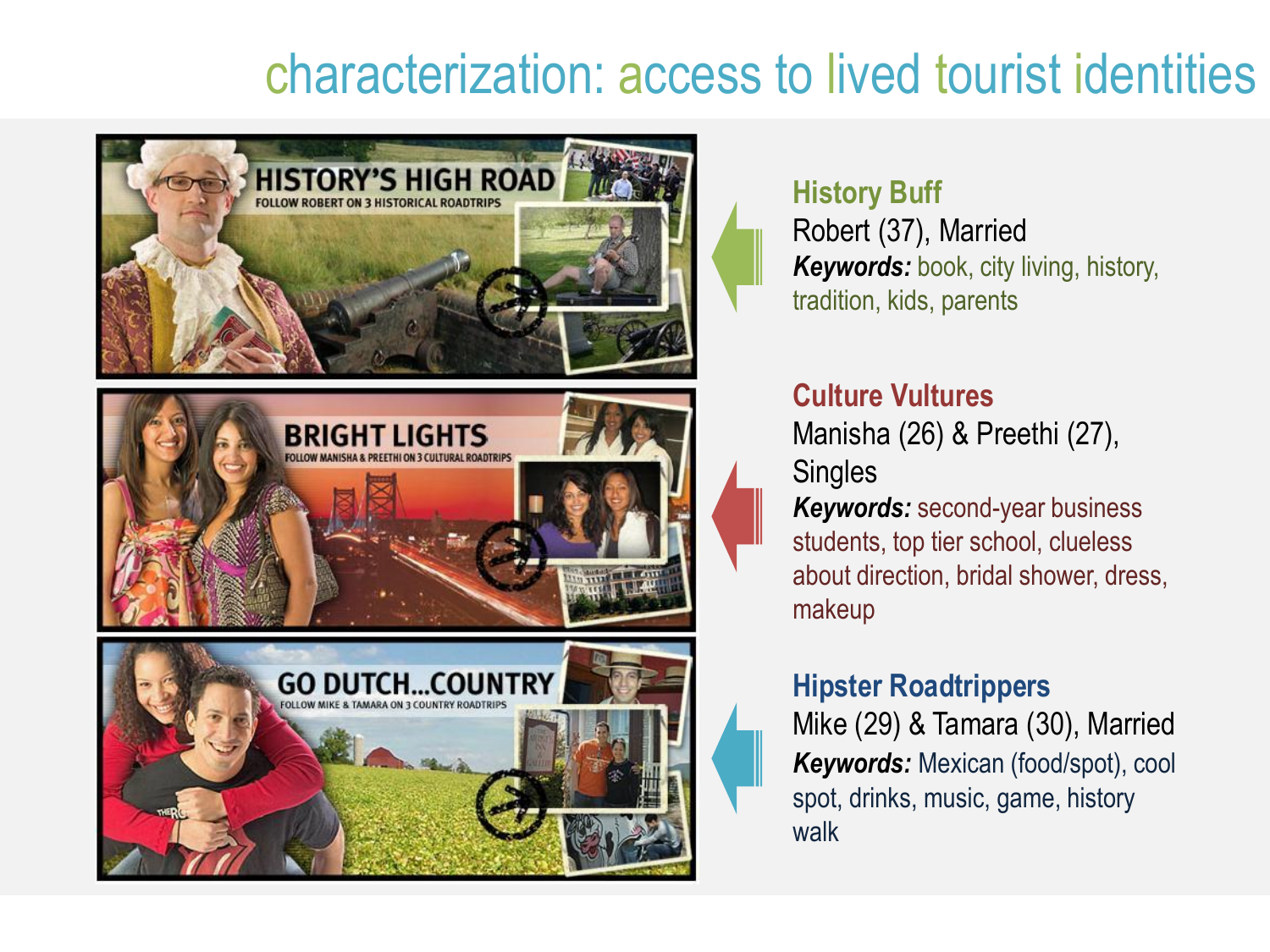## characterization: access to lived tourist identities



### **History Buff**

Robert (37), Married *Keywords:* book, city living, history, tradition, kids, parents

#### **Culture Vultures**

Manisha (26) & Preethi (27), **Singles** 

*Keywords:* second-year business students, top tier school, clueless about direction, bridal shower, dress, makeup

#### **Hipster Roadtrippers**

Mike (29) & Tamara (30), Married *Keywords:* Mexican (food/spot), cool spot, drinks, music, game, history walk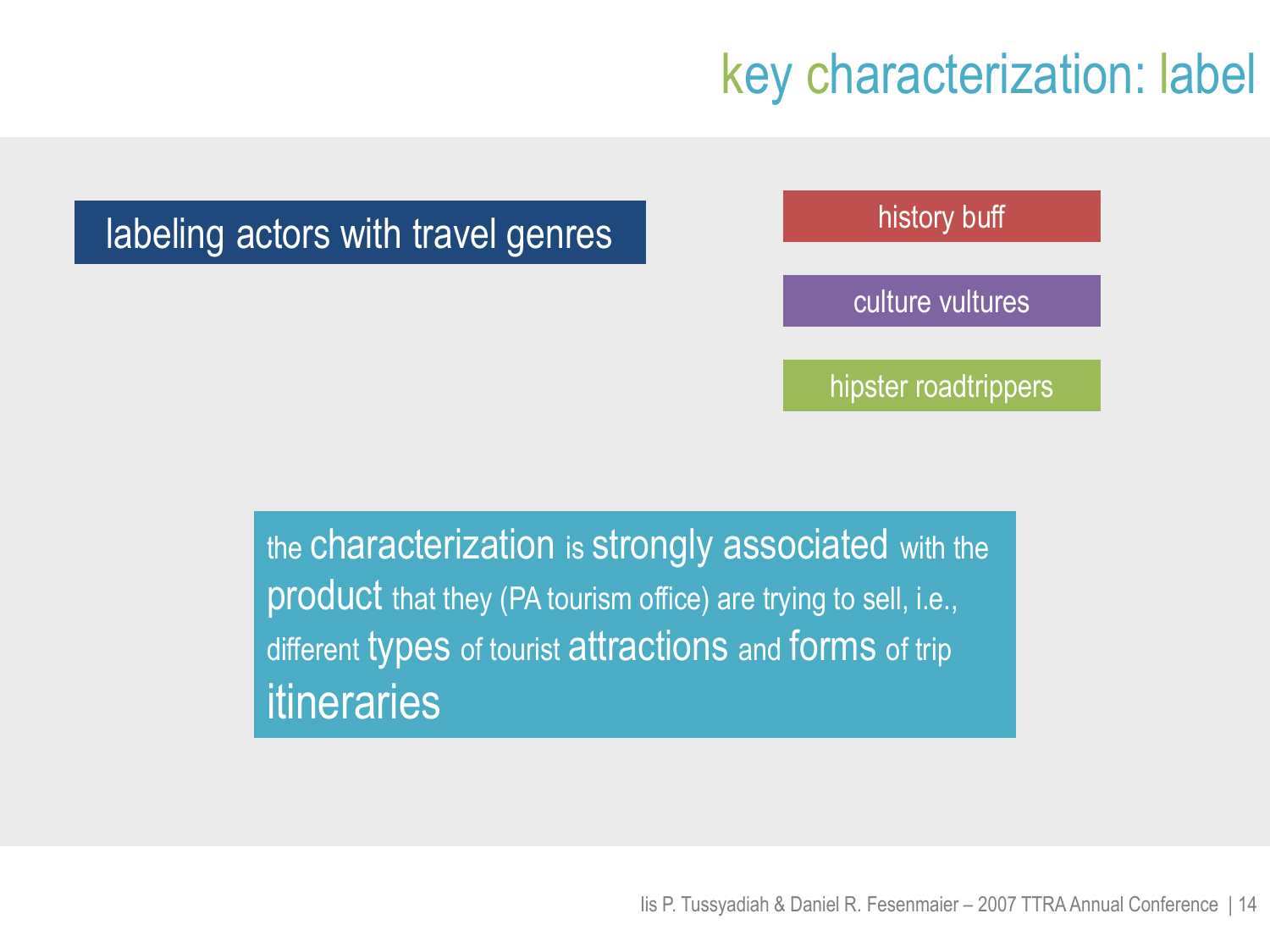## key characterization: label

history buff

culture vultures

hipster roadtrippers

the characterization is strongly associated with the product that they (PA tourism office) are trying to sell, i.e., different types of tourist attractions and forms of trip itineraries

labeling actors with travel genres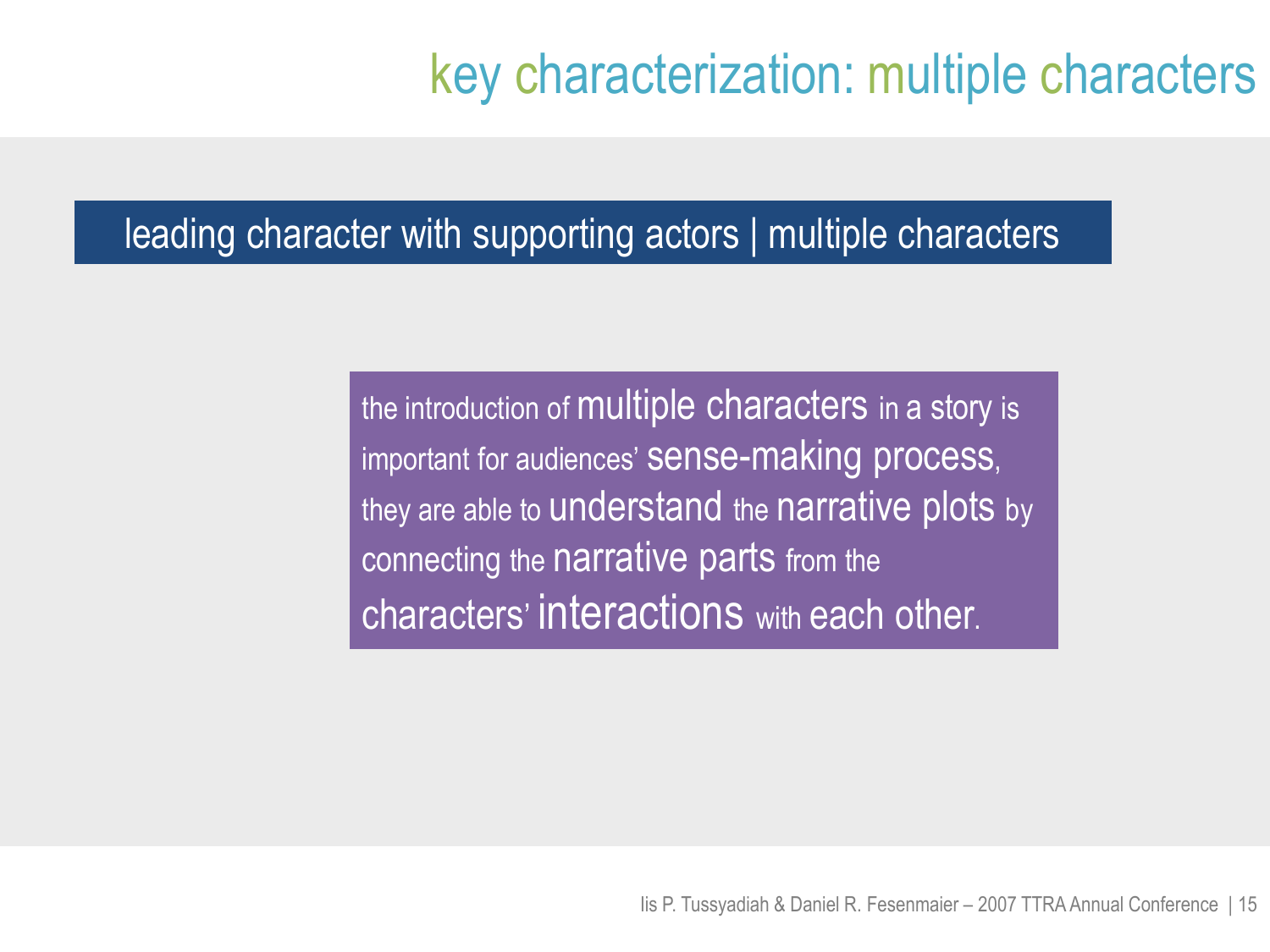## key characterization: multiple characters

#### leading character with supporting actors | multiple characters

the introduction of multiple characters in a story is important for audiences' sense-making process, they are able to understand the narrative plots by connecting the narrative parts from the characters' interactions with each other.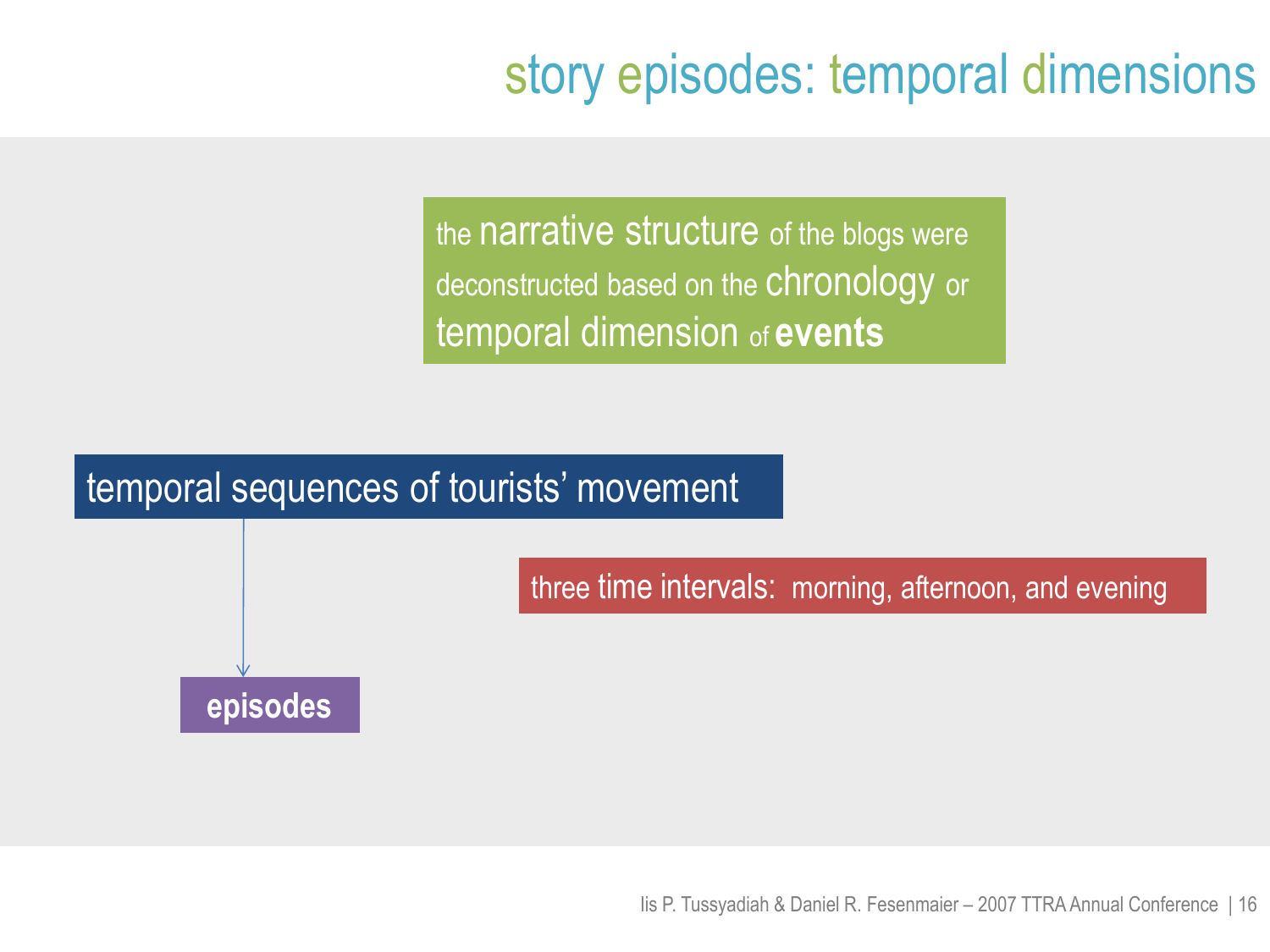# story episodes: temporal dimensions

the narrative structure of the blogs were deconstructed based on the chronology or temporal dimension of **events**

#### temporal sequences of tourists' movement

three time intervals: morning, afternoon, and evening

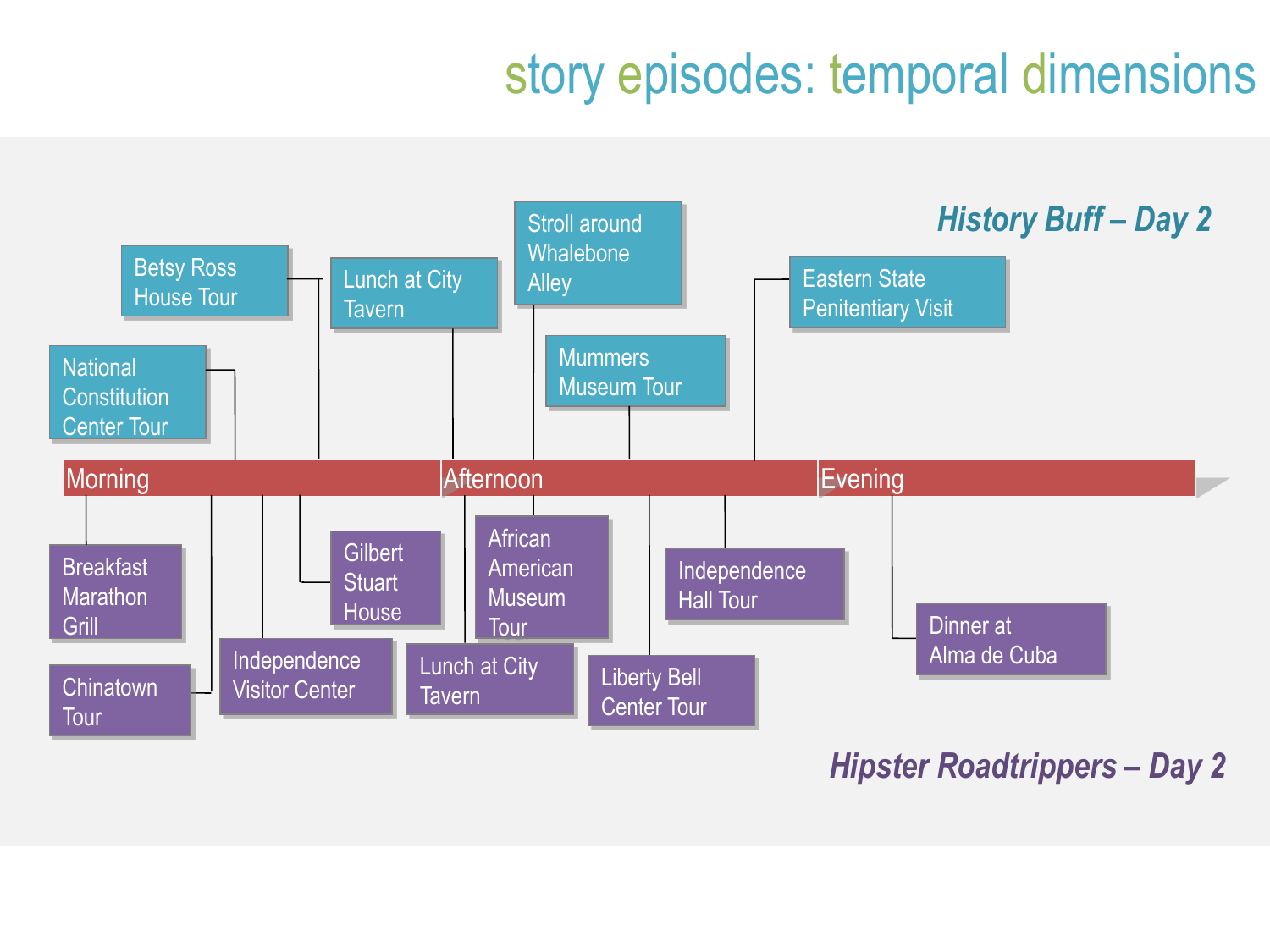# story episodes: temporal dimensions



#### *Hipster Roadtrippers – Day 2*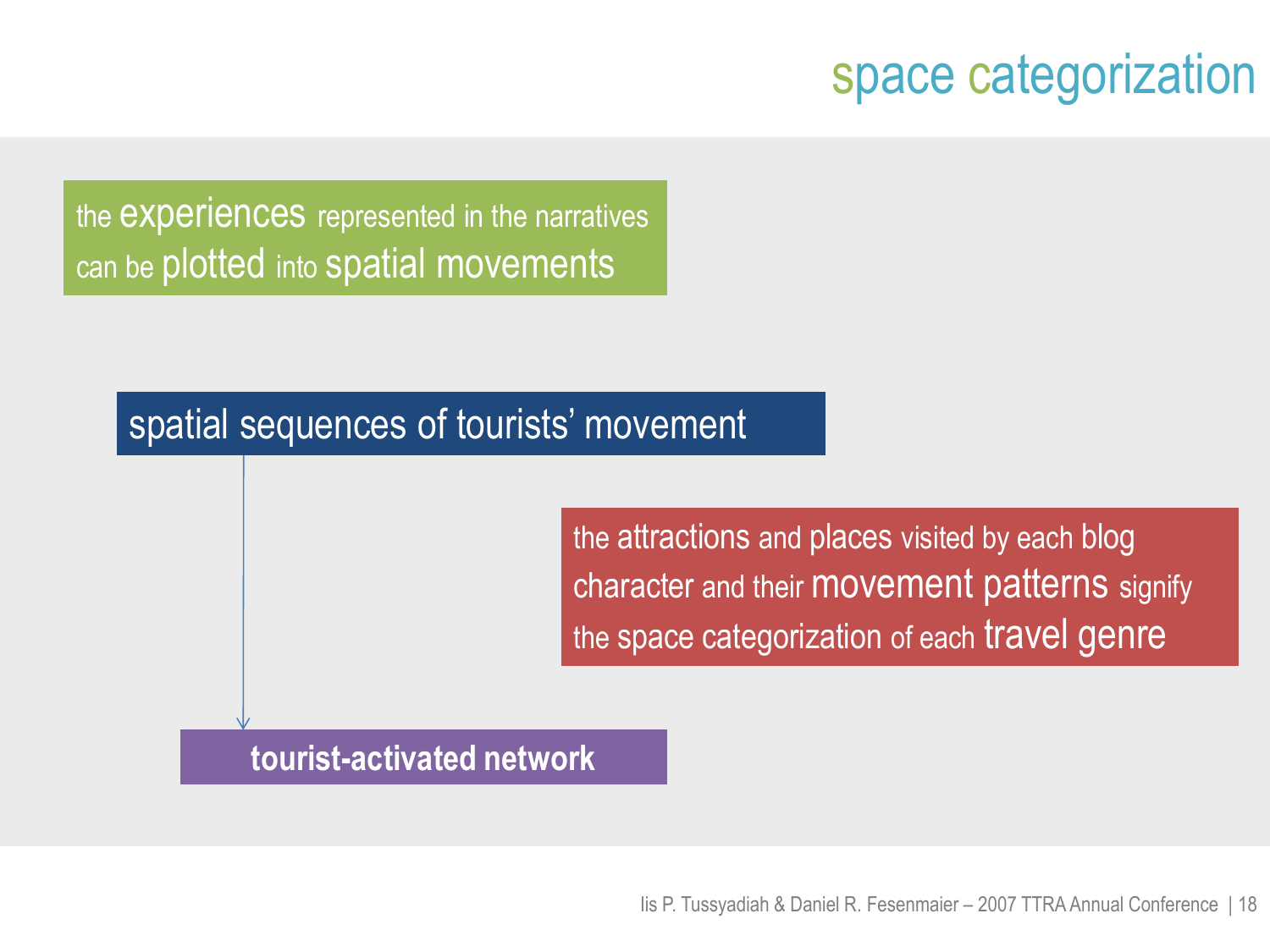## space categorization

the experiences represented in the narratives can be plotted into spatial movements

#### spatial sequences of tourists' movement

the attractions and places visited by each blog character and their movement patterns signify the space categorization of each travel genre

#### **tourist-activated network**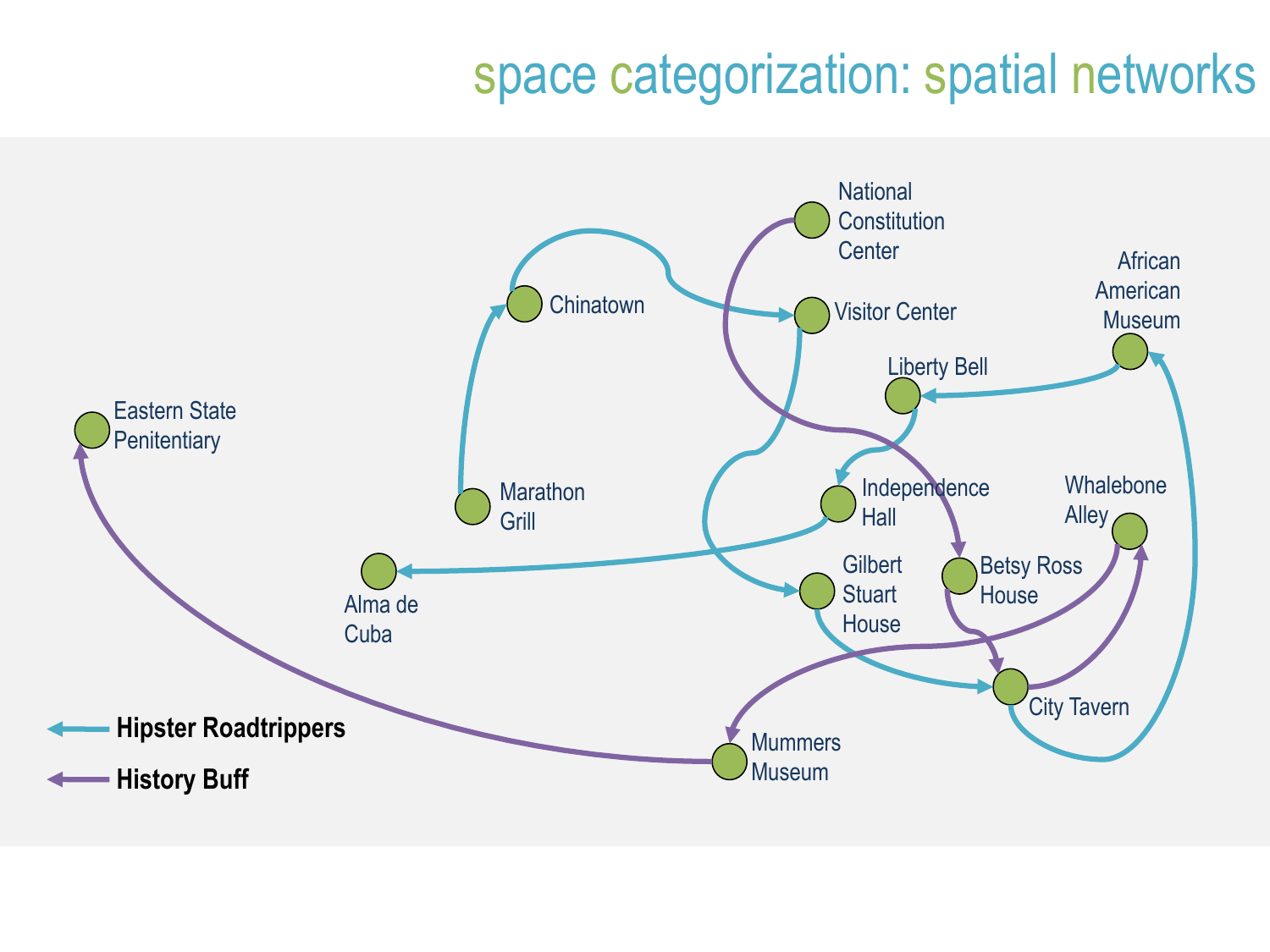## space categorization: spatial networks

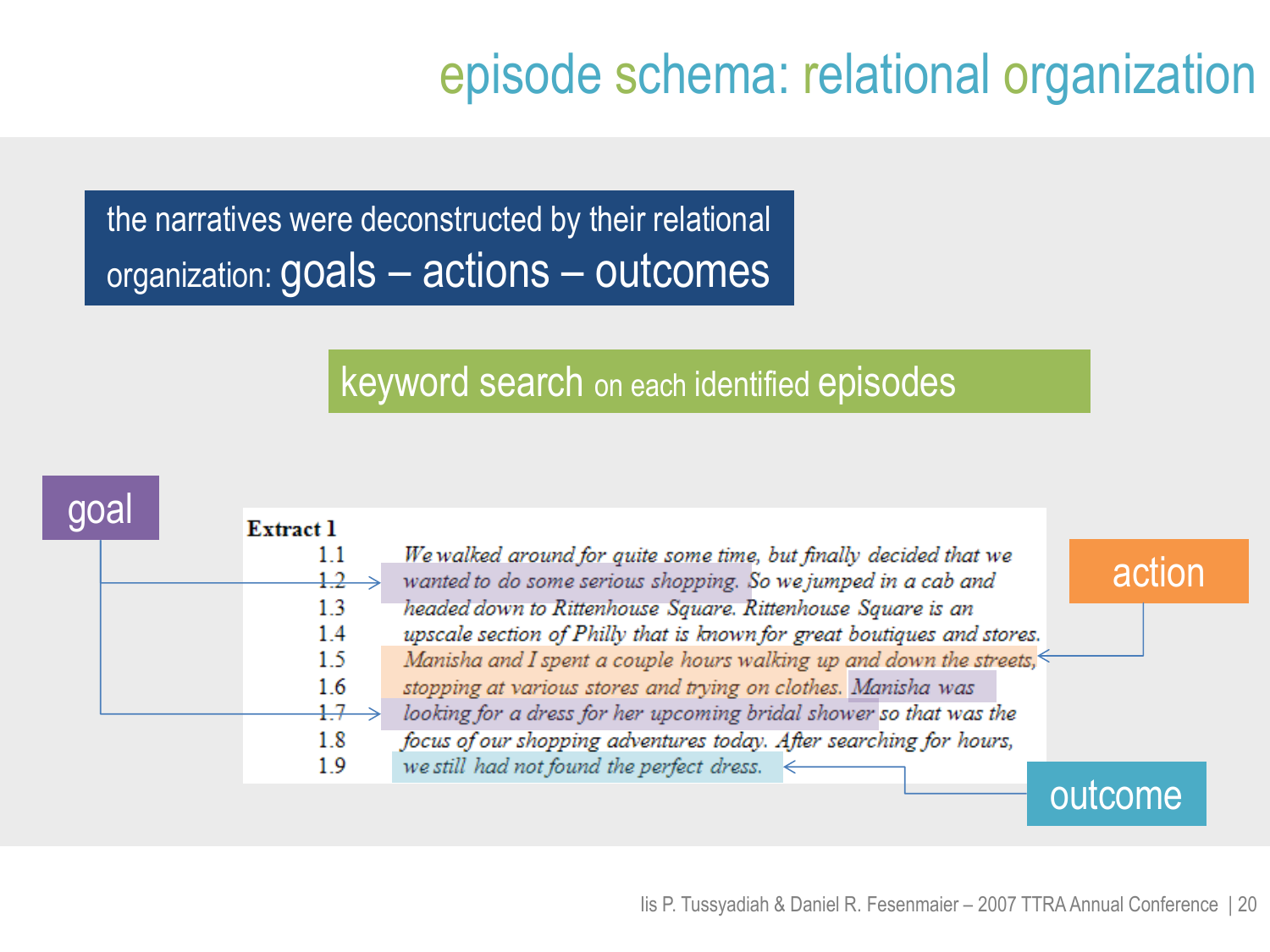# episode schema: relational organization

the narratives were deconstructed by their relational organization: goals – actions – outcomes

#### keyword search on each identified episodes

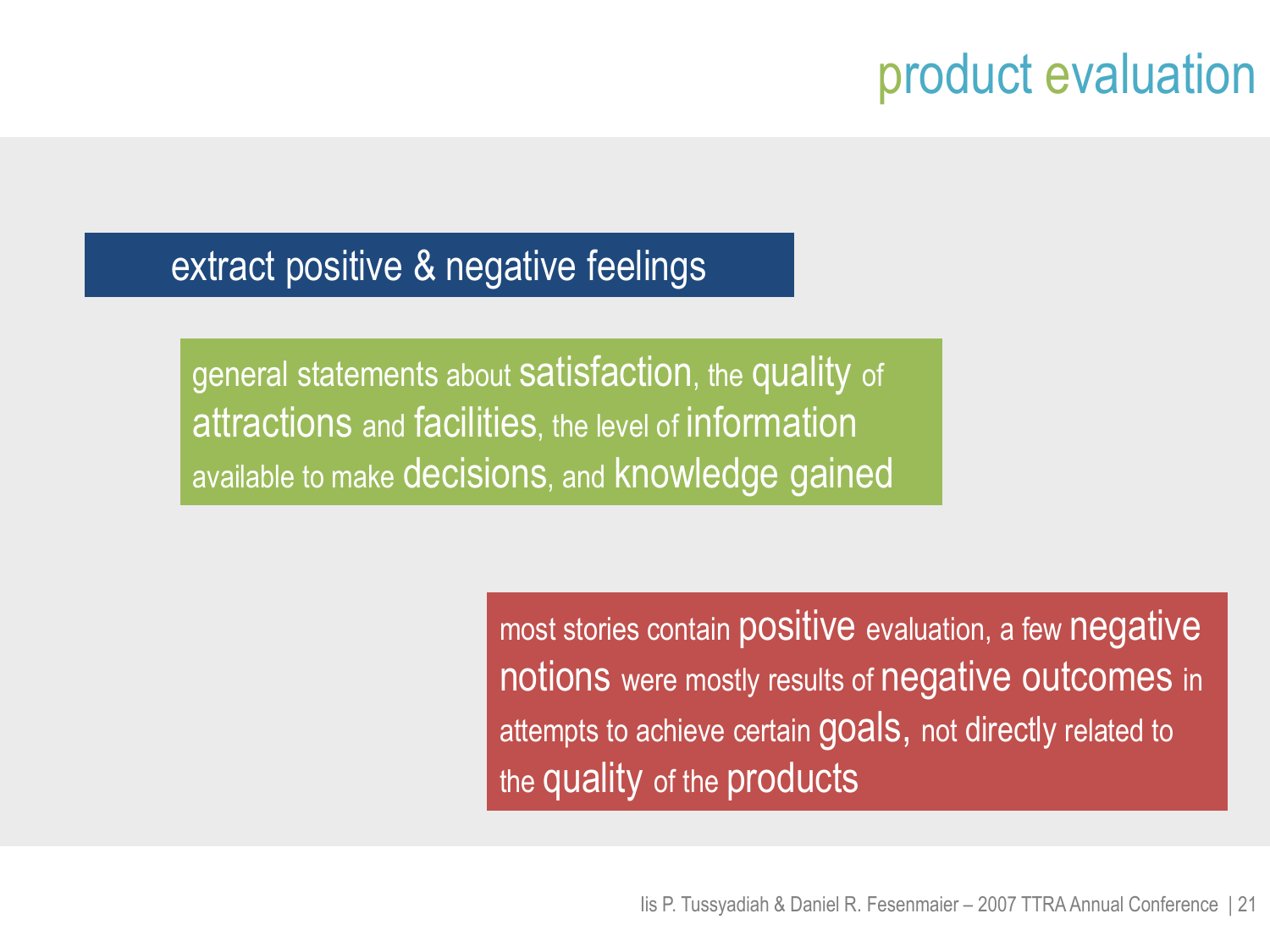# product evaluation

#### extract positive & negative feelings

general statements about satisfaction, the quality of attractions and facilities, the level of information available to make decisions, and knowledge gained

> most stories contain positive evaluation, a few negative notions were mostly results of negative outcomes in attempts to achieve certain goals, not directly related to the quality of the products